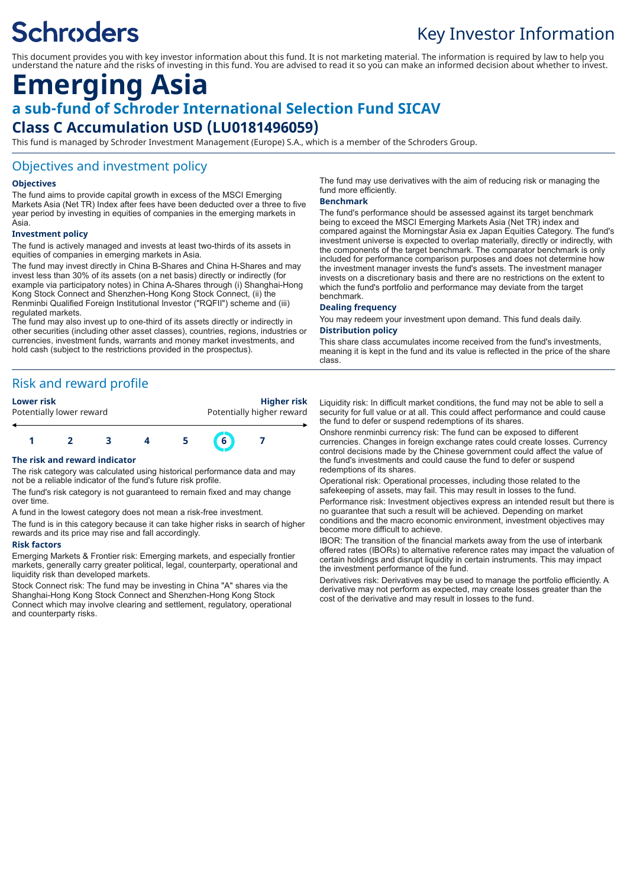# **Schroders**

## Key Investor Information

This document provides you with key investor information about this fund. It is not marketing material. The information is required by law to help you understand the nature and the risks of investing in this fund. You are advised to read it so you can make an informed decision about whether to invest.

### **Emerging Asia a sub-fund of Schroder International Selection Fund SICAV Class C Accumulation USD (LU0181496059)**

This fund is managed by Schroder Investment Management (Europe) S.A., which is a member of the Schroders Group.

#### Objectives and investment policy

#### **Objectives**

The fund aims to provide capital growth in excess of the MSCI Emerging Markets Asia (Net TR) Index after fees have been deducted over a three to five year period by investing in equities of companies in the emerging markets in Asia.

#### **Investment policy**

The fund is actively managed and invests at least two-thirds of its assets in equities of companies in emerging markets in Asia.

The fund may invest directly in China B-Shares and China H-Shares and may invest less than 30% of its assets (on a net basis) directly or indirectly (for example via participatory notes) in China A-Shares through (i) Shanghai-Hong Kong Stock Connect and Shenzhen-Hong Kong Stock Connect, (ii) the Renminbi Qualified Foreign Institutional Investor ("RQFII") scheme and (iii) regulated markets.

The fund may also invest up to one-third of its assets directly or indirectly in other securities (including other asset classes), countries, regions, industries or currencies, investment funds, warrants and money market investments, and hold cash (subject to the restrictions provided in the prospectus).

#### Risk and reward profile

**Lower risk Higher risk** Potentially higher reward



The risk category was calculated using historical performance data and may not be a reliable indicator of the fund's future risk profile.

The fund's risk category is not guaranteed to remain fixed and may change over time.

A fund in the lowest category does not mean a risk-free investment.

The fund is in this category because it can take higher risks in search of higher rewards and its price may rise and fall accordingly.

#### **Risk factors**

Emerging Markets & Frontier risk: Emerging markets, and especially frontier markets, generally carry greater political, legal, counterparty, operational and liquidity risk than developed markets.

Stock Connect risk: The fund may be investing in China "A" shares via the Shanghai-Hong Kong Stock Connect and Shenzhen-Hong Kong Stock Connect which may involve clearing and settlement, regulatory, operational and counterparty risks.

The fund may use derivatives with the aim of reducing risk or managing the fund more efficiently.

#### **Benchmark**

The fund's performance should be assessed against its target benchmark being to exceed the MSCI Emerging Markets Asia (Net TR) index and compared against the Morningstar Asia ex Japan Equities Category. The fund's investment universe is expected to overlap materially, directly or indirectly, with the components of the target benchmark. The comparator benchmark is only included for performance comparison purposes and does not determine how the investment manager invests the fund's assets. The investment manager invests on a discretionary basis and there are no restrictions on the extent to which the fund's portfolio and performance may deviate from the target benchmark.

#### **Dealing frequency**

You may redeem your investment upon demand. This fund deals daily.

#### **Distribution policy**

This share class accumulates income received from the fund's investments, meaning it is kept in the fund and its value is reflected in the price of the share class.

Liquidity risk: In difficult market conditions, the fund may not be able to sell a security for full value or at all. This could affect performance and could cause the fund to defer or suspend redemptions of its shares.

Onshore renminbi currency risk: The fund can be exposed to different currencies. Changes in foreign exchange rates could create losses. Currency control decisions made by the Chinese government could affect the value of the fund's investments and could cause the fund to defer or suspend redemptions of its shares.

Operational risk: Operational processes, including those related to the safekeeping of assets, may fail. This may result in losses to the fund. Performance risk: Investment objectives express an intended result but there is

no guarantee that such a result will be achieved. Depending on market conditions and the macro economic environment, investment objectives may become more difficult to achieve.

IBOR: The transition of the financial markets away from the use of interbank offered rates (IBORs) to alternative reference rates may impact the valuation of certain holdings and disrupt liquidity in certain instruments. This may impact the investment performance of the fund.

Derivatives risk: Derivatives may be used to manage the portfolio efficiently. A derivative may not perform as expected, may create losses greater than the cost of the derivative and may result in losses to the fund.